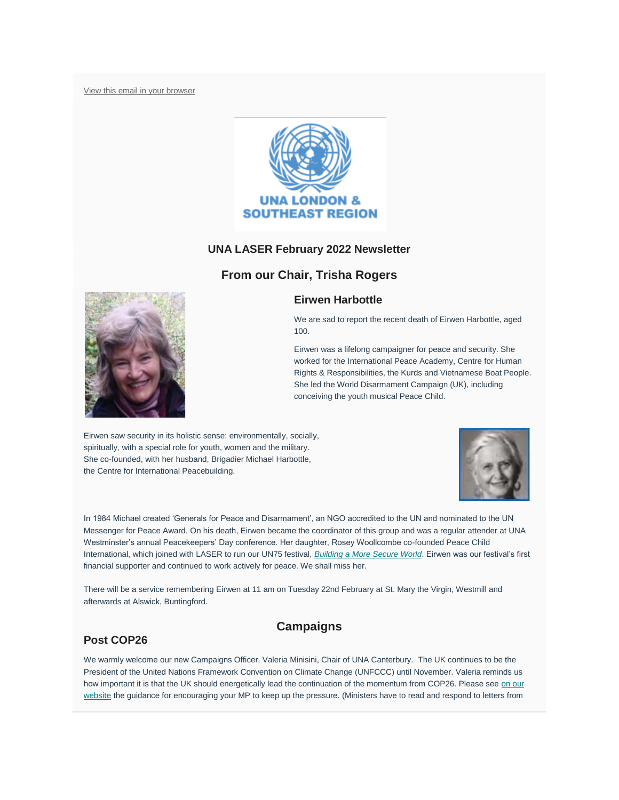[View this email in your browser](https://mailchi.mp/232542c2fbac/laser-newsletter-november-20145837?e=7b19b52a1f)



## **UNA LASER February 2022 Newsletter**

# **From our Chair, Trisha Rogers**

## **Eirwen Harbottle**



We are sad to report the recent death of Eirwen Harbottle, aged 100.

Eirwen was a lifelong campaigner for peace and security. She worked for the International Peace Academy, Centre for Human Rights & Responsibilities, the Kurds and Vietnamese Boat People. She led the World Disarmament Campaign (UK), including conceiving the youth musical Peace Child.

Eirwen saw security in its holistic sense: environmentally, socially, spiritually, with a special role for youth, women and the military. She co-founded, with her husband, Brigadier Michael Harbottle, the Centre for International Peacebuilding.



In 1984 Michael created 'Generals for Peace and Disarmament', an NGO accredited to the UN and nominated to the UN Messenger for Peace Award. On his death, Eirwen became the coordinator of this group and was a regular attender at UNA Westminster"s annual Peacekeepers" Day conference. Her daughter, Rosey Woollcombe co-founded Peace Child International, which joined with LASER to run our UN75 festival, *[Building a More Secure World](https://www.whatnext4un.org/)*. Eirwen was our festival"s first financial supporter and continued to work actively for peace. We shall miss her.

There will be a service remembering Eirwen at 11 am on Tuesday 22nd February at St. Mary the Virgin, Westmill and afterwards at Alswick, Buntingford.

## **Post COP26**

# **Campaigns**

We warmly welcome our new Campaigns Officer, Valeria Minisini, Chair of UNA Canterbury. The UK continues to be the President of the United Nations Framework Convention on Climate Change (UNFCCC) until November. Valeria reminds us how important it is that the UK should energetically lead the continuation of the momentum from COP26. Please see on our [website](https://unalaser.org/the-uk-must-take-forward-its-climate-change-commitments-following-cop26) the guidance for encouraging your MP to keep up the pressure. (Ministers have to read and respond to letters from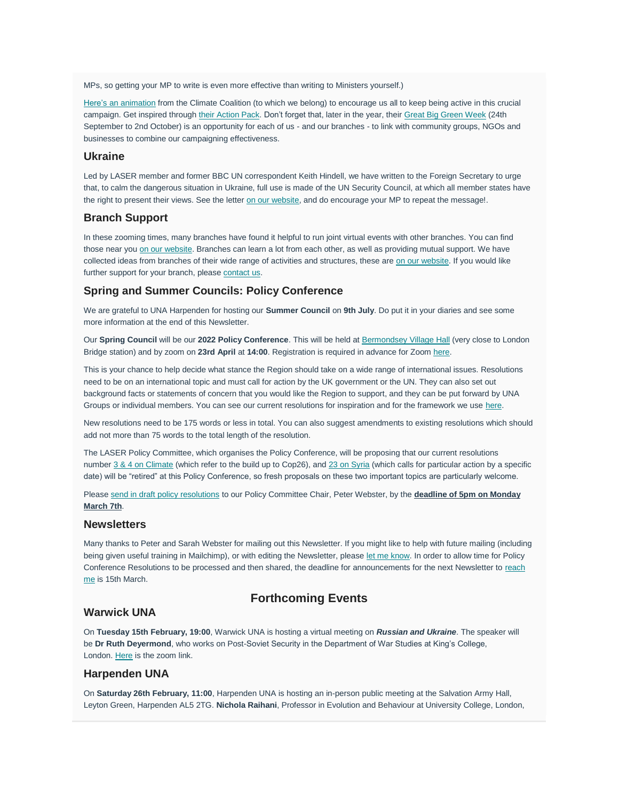MPs, so getting your MP to write is even more effective than writing to Ministers yourself.)

[Here"s an animation](https://drive.google.com/file/d/1Ankac_Q8Db1QSQXrBH8Pv2Xpo-g1ZP05/view) from the Climate Coalition (to which we belong) to encourage us all to keep being active in this crucial campaign. Get inspired through [their Action Pack.](https://www.theclimatecoalition.org/show-the-love) Don't forget that, later in the year, their [Great Big Green Week](https://www.theclimatecoalition.org/great-big-green-week) (24th September to 2nd October) is an opportunity for each of us - and our branches - to link with community groups, NGOs and businesses to combine our campaigning effectiveness.

#### **Ukraine**

Led by LASER member and former BBC UN correspondent Keith Hindell, we have written to the Foreign Secretary to urge that, to calm the dangerous situation in Ukraine, full use is made of the UN Security Council, at which all member states have the right to present their views. See the letter [on our website,](https://unalaser.org/use-the-un-security-council-to-deescalate-the-ukraine-situation) and do encourage your MP to repeat the message!.

#### **Branch Support**

In these zooming times, many branches have found it helpful to run joint virtual events with other branches. You can find those near you [on our website.](https://unalaser.org/branches) Branches can learn a lot from each other, as well as providing mutual support. We have collected ideas from branches of their wide range of activities and structures, these are [on our website.](https://unalaser.org/wp-content/uploads/2021/02/Branch-Ideas.pdf) If you would like further support for your branch, please [contact us.](mailto:contact@unalaser.org)

## **Spring and Summer Councils: Policy Conference**

We are grateful to UNA Harpenden for hosting our **Summer Council** on **9th July**. Do put it in your diaries and see some more information at the end of this Newsletter.

Our **Spring Council** will be our **2022 Policy Conference**. This will be held at [Bermondsey Village Hall](https://www.london-se1.co.uk/places/bermondsey-village-hall) (very close to London Bridge station) and by zoom on **23rd April** at **14:00**. Registration is required in advance for Zoom [here.](https://us02web.zoom.us/meeting/register/tZAtdeqqrzgiGd26v1jGXzECGNdGfrrXic0i)

This is your chance to help decide what stance the Region should take on a wide range of international issues. Resolutions need to be on an international topic and must call for action by the UK government or the UN. They can also set out background facts or statements of concern that you would like the Region to support, and they can be put forward by UNA Groups or individual members. You can see our current resolutions for inspiration and for the framework we use [here.](https://unalaser.org/our-current-resolutions)

New resolutions need to be 175 words or less in total. You can also suggest amendments to existing resolutions which should add not more than 75 words to the total length of the resolution.

The LASER Policy Committee, which organises the Policy Conference, will be proposing that our current resolutions number [3 & 4 on Climate](https://unalaser.org/wp-content/uploads/2021/03/UNA-LASER-Policy-resolutions-approved-as-at-27th-February-2021-Page-by-Page.pdf#page=3) (which refer to the build up to Cop26), and [23 on Syria](https://unalaser.org/wp-content/uploads/2021/03/UNA-LASER-Policy-resolutions-approved-as-at-27th-February-2021-Page-by-Page.pdf#page=23) (which calls for particular action by a specific date) will be "retired" at this Policy Conference, so fresh proposals on these two important topics are particularly welcome.

Please [send in draft policy resolutions](mailto:webster.home@btinternet.com?subject=Draft%20Policy%20Resolution&body=Dear%20Peter%2C%0A%0APlease%20find%20below%20the%20text%20of%20a%20proposed%20Policy%20Resolution%20(maximum%20length%20175%20words)%3A%0A%0A%0A%0A%0A%0A%0AKind%20regards%2C%0A%0A) to our Policy Committee Chair, Peter Webster, by the **deadline of 5pm on Monday March 7th**.

### **Newsletters**

Many thanks to Peter and Sarah Webster for mailing out this Newsletter. If you might like to help with future mailing (including being given useful training in Mailchimp), or with editing the Newsletter, please [let me know.](mailto:contact@unalaser.org?subject=Help%20with%20the%20newsletter) In order to allow time for Policy Conference Resolutions to be processed and then shared, the deadline for announcements for the next Newsletter to reach [me](mailto:contact@unalaser.org?subject=March%20newsletter%20content) is 15th March.

# **Forthcoming Events**

### **Warwick UNA**

On **Tuesday 15th February, 19:00**, Warwick UNA is hosting a virtual meeting on *Russian and Ukraine*. The speaker will be **Dr Ruth Deyermond**, who works on Post-Soviet Security in the Department of War Studies at King"s College, London. [Here](https://us02web.zoom.us/j/81172663469?pwd=Z0xxcjdPRVVjWTN6QU9vSWNuRjRYdz09) is the zoom link.

#### **Harpenden UNA**

On **Saturday 26th February, 11:00**, Harpenden UNA is hosting an in-person public meeting at the Salvation Army Hall, Leyton Green, Harpenden AL5 2TG. **Nichola Raihani**, Professor in Evolution and Behaviour at University College, London,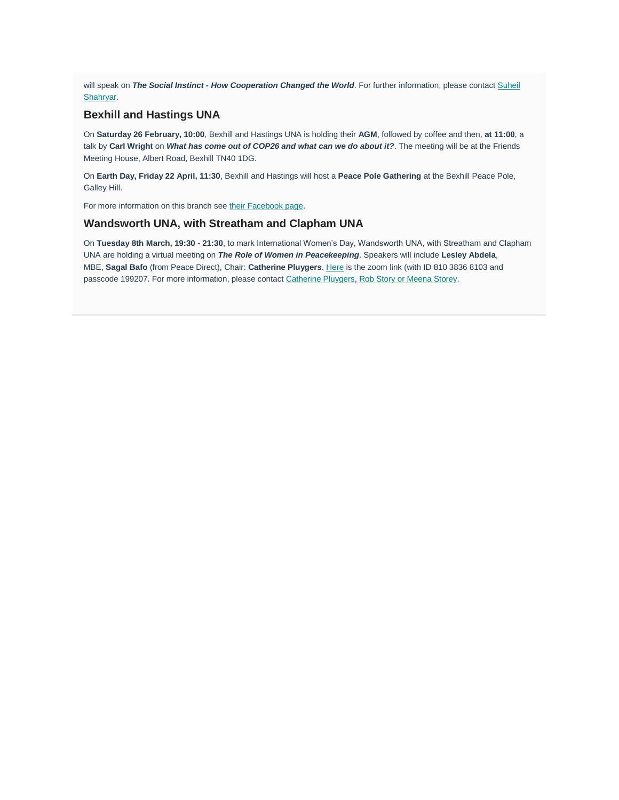will speak on *The Social Instinct - How Cooperation Changed the World*. For further information, please contact [Suheil](mailto:herts77@btinternet.com?subject=Meeting%20on%20The%20Social%20Instinct%20-%20How%20Co-operation%20Changed%20the%20World&body=Dear%20Suheil%2C%0A%0AI%27m%20writing%20to%20ask%20for%20further%20information%20about%20the%20above%20event.%0A%0A%0A%0AKind%20regards%2C%0A%0A)  [Shahryar.](mailto:herts77@btinternet.com?subject=Meeting%20on%20The%20Social%20Instinct%20-%20How%20Co-operation%20Changed%20the%20World&body=Dear%20Suheil%2C%0A%0AI%27m%20writing%20to%20ask%20for%20further%20information%20about%20the%20above%20event.%0A%0A%0A%0AKind%20regards%2C%0A%0A)

### **Bexhill and Hastings UNA**

On **Saturday 26 February, 10:00**, Bexhill and Hastings UNA is holding their **AGM**, followed by coffee and then, **at 11:00**, a talk by **Carl Wright** on *What has come out of COP26 and what can we do about it?*. The meeting will be at the Friends Meeting House, Albert Road, Bexhill TN40 1DG.

On **Earth Day, Friday 22 April, 11:30**, Bexhill and Hastings will host a **Peace Pole Gathering** at the Bexhill Peace Pole, Galley Hill.

For more information on this branch see [their Facebook page.](https://www.facebook.com/UNAUKBexhillandHastings/?r%20ef=ts&fref=ts)

## **Wandsworth UNA, with Streatham and Clapham UNA**

On **Tuesday 8th March, 19:30 - 21:30**, to mark International Women"s Day, Wandsworth UNA, with Streatham and Clapham UNA are holding a virtual meeting on *The Role of Women in Peacekeeping*. Speakers will include **Lesley Abdela**, MBE, **Sagal Bafo** (from Peace Direct), Chair: **Catherine Pluygers**. [Here](https://us02web.zoom.us/meeting/register/tZUtdOGrqDMrGtdBwim2kwIZzKzNJoQhi0IV) is the zoom link (with ID 810 3836 8103 and passcode 199207. For more information, please contact [Catherine Pluygers,](mailto:catherinepluygers@hotmail.com) [Rob Story or Meena Storey.](mailto:storeyrw@aol.com)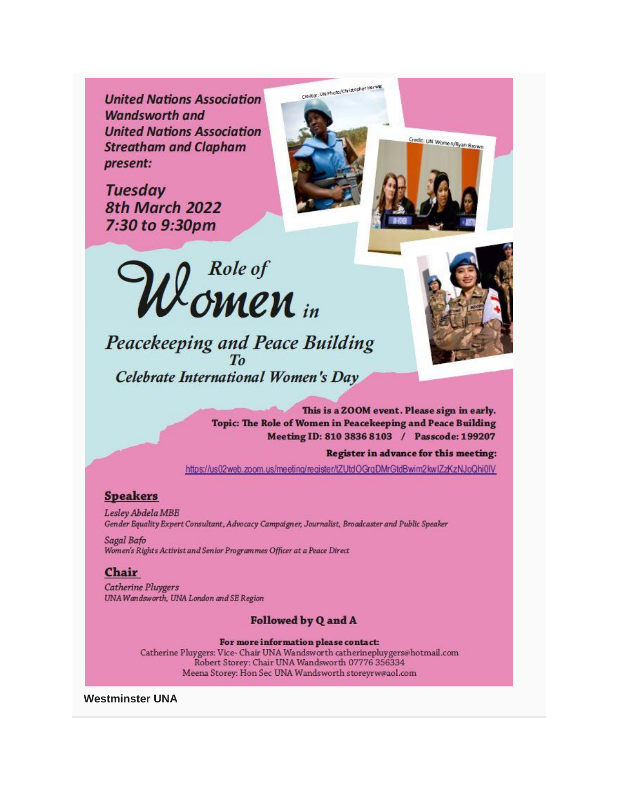**United Nations Association Wandsworth and United Nations Association Streatham and Clapham** present:

**Tuesday** 8th March 2022 7:30 to 9:30pm



Peacekeeping and Peace Building<br>To Celebrate International Women's Day



Credit: UN Women/Ryan Brown

This is a ZOOM event. Please sign in early. Topic: The Role of Women in Peacekeeping and Peace Building Meeting ID: 810 3836 8103 / Passcode: 199207

Register in advance for this meeting:

https://us02web.zoom.us/meeting/register/tZUtdOGraDMrGtdBwim2kwlZzKzNJoQhi0IV

Creator: UN Photo/Christopher Herwig

# **Speakers**

Lesley Abdela MBE Gender Equality Expert Consultant, Advocacy Campaigner, Journalist, Broadcaster and Public Speaker

Sagal Bafo Women's Rights Activist and Senior Programmes Officer at a Peace Direct

### Chair

**Catherine Pluygers** UNA Wandsworth, UNA London and SE Region

**Followed by Q and A** 

For more information please contact: Catherine Pluygers: Vice-Chair UNA Wandsworth catherinepluygers@hotmail.com Robert Storey: Chair UNA Wandsworth 07776 356334 Meena Storey: Hon Sec UNA Wandsworth storeyrw@aol.com

**Westminster UNA**